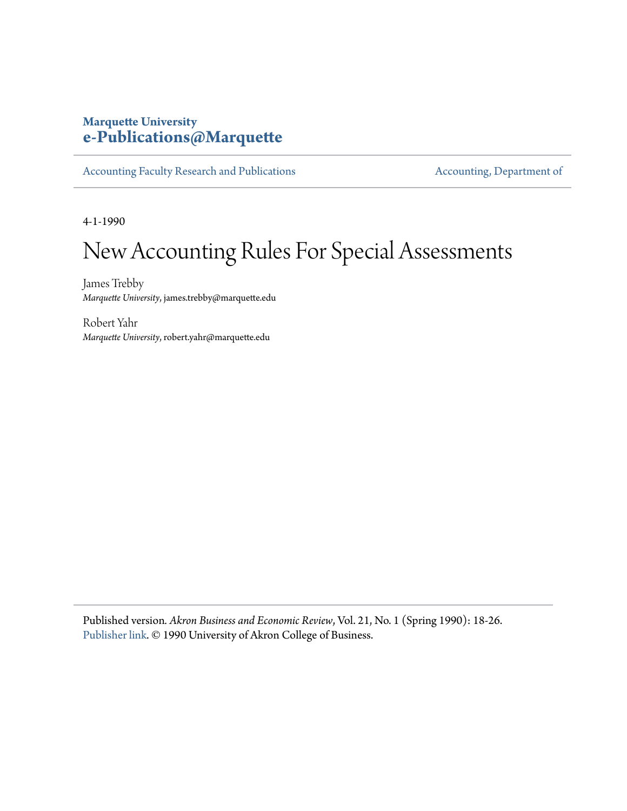# **Marquette University [e-Publications@Marquette](https://epublications.marquette.edu)**

[Accounting Faculty Research and Publications](https://epublications.marquette.edu/account_fac) **[Accounting, Department of](https://epublications.marquette.edu/account)** 

4-1-1990

# New Accounting Rules For Special Assessments

James Trebby *Marquette University*, james.trebby@marquette.edu

Robert Yahr *Marquette University*, robert.yahr@marquette.edu

Published version*. Akron Business and Economic Review*, Vol. 21, No. 1 (Spring 1990): 18-26. [Publisher link](https://www.questia.com/library/journal/1G1-8997471/new-accounting-rules-for-special-assessments). © 1990 University of Akron College of Business.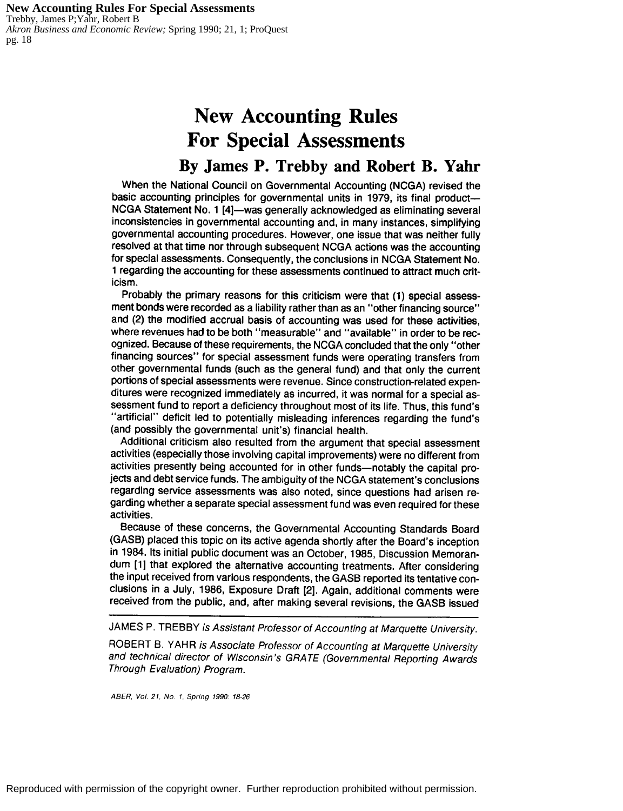**New Accounting Rules For Special Assessments** Trebby, James P;Yahr, Robert B *Akron Business and Economic Review;* Spring 1990; 21, 1; ProQuest pg. 18

# **New Accounting Rules For Special Assessments**

# **By James P. Trebby and Robert B. Yahr**

When the National Council on Governmental Accounting (NCGA) revised the basic accounting principles for governmental units in 1979, its final product-NCGA Statement No. 1 (4)-was generally acknowledged as eliminating several inconsistencies in governmental accounting and, in many instances, simplifying governmental accounting procedures. However, one issue that was neither fully resolved at that time nor through subsequent NCGA actions was the accounting for special assessments. Consequently, the conclusions in NCGA Statement No. 1 regarding the accounting for these assessments continued to attract much criticism.

Probably the primary reasons for this criticism were that (1) special assessment bonds were recorded as a liability rather than as an "other financing source" and (2) the modified accrual basis of accounting was used for these activities, where revenues had to be both "measurable" and "available" in order to be recognized. Because of these requirements, the NCGA concluded that the only "other financing sources" for special assessment funds were operating transfers from other governmental funds (such as the general fund) and that only the current portions of special assessments were revenue. Since construction-related expenditures were recognized immediately as incurred, it was normal for a special assessment fund to report a deficiency throughout most of its life. Thus, this fund's "artificial" deficit led to potentially misleading inferences regarding the fund's (and possibly the governmental unit's) financial health.

Additional criticism also resulted from the argument that special assessment activities (especially those involving capital improvements) were no different from activities presently being accounted for in other funds-notably the capital projects and debt service funds. The ambiguity of the NCGA statement's conclusions regarding service assessments was also noted, since questions had arisen regarding whether a separate special assessment fund was even required for these activities.

Because of these concerns, the Governmental Accounting Standards Board (GASB) placed this topic on its active agenda shortly after the Board's inception in 1984. Its initial public document was an October, 1985, Discussion Memorandum (1) that explored the alternative accounting treatments. After considering the input received from various respondents, the GASB reported its tentative conclusions in a July, 1986, Exposure Draft (2). Again, additional comments were received from the public, and, after making several revisions, the GASB issued

JAMES P. TREBBY is Assistant Professor of Accounting at Marquette University.

ROBERT B. YAHR is Associate Professor of Accounting at Marquette University and technical director of Wisconsin's GRATE (Governmental Reporting Awards Through Evaluation) Program.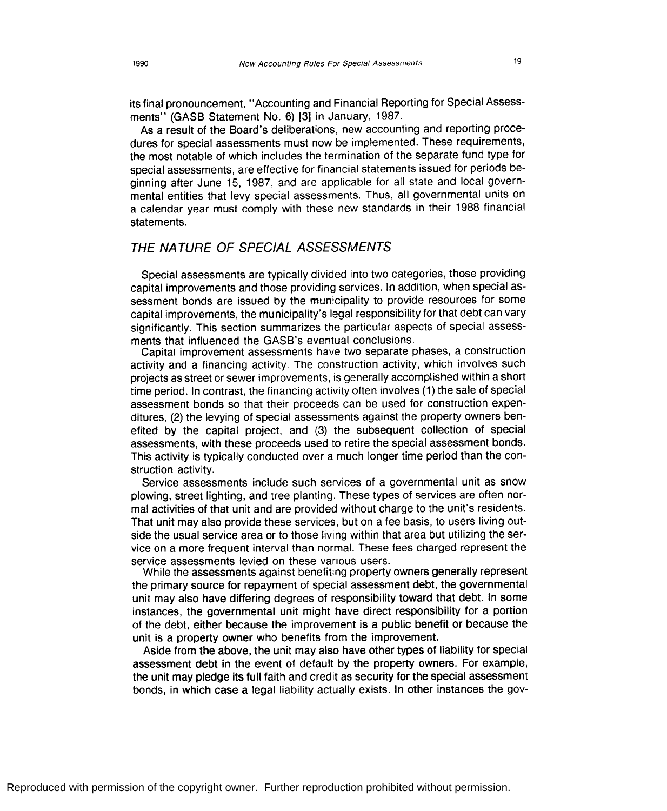its final pronouncement. "Accounting and Financial Reporting for Special Assessments" (GASS Statement No. 6) [3) in January, 1987.

As a result of the Board's deliberations, new accounting and reporting procedures for special assessments must now be implemented. These requirements, the most notable of which includes the termination of the separate fund type for special assessments, are effective for financial statements issued for periods beginning after June 15, 1987, and are applicable for all state and local governmental entities that levy special assessments. Thus, all governmental units on a calendar year must comply with these new standards in their 1988 financial statements.

# THE NATURE OF SPECIAL ASSESSMENTS

Special assessments are typically divided into two categories, those providing capital improvements and those providing services. In addition, when special assessment bonds are issued by the municipality to provide resources for some capital improvements, the municipality's legal responsibility for that debt can vary significantly. This section summarizes the particular aspects of special assessments that influenced the GASB's eventual conclusions.

Capital improvement assessments have two separate phases, a construction activity and a financing activity. The construction activity, which involves such projects as street or sewer improvements, is generally accomplished within a short time period. In contrast, the financing activity often involves (1) the sale of special assessment bonds so that their proceeds can be used for construction expenditures, (2) the levying of special assessments against the property owners benefited by the capital project, and (3) the subsequent collection of special assessments, with these proceeds used to retire the special assessment bonds. This activity is typically conducted over a much longer time period than the construction activity.

Service assessments include such services of a governmental unit as snow plowing, street lighting, and tree planting. These types of services are often normal activities of that unit and are provided without charge to the unit's residents. That unit may also provide these services, but on a fee basis, to users living outside the usual service area or to those living within that area but utilizing the service on a more frequent interval than normal. These fees charged represent the service assessments levied on these various users.

While the assessments against benefiting property owners generally represent the primary source for repayment of special assessment debt, the governmental unit may also have differing degrees of responsibility toward that debt. In some instances, the governmental unit might have direct responsibility for a portion of the debt, either because the improvement is a public benefit or because the unit is a property owner who benefits from the improvement.

Aside from the above, the unit may also have other types of liability for special assessment debt in the event of default by the property owners. For example, the unit may pledge its full faith and credit as security for the special assessment bonds, in which case a legal liability actually exists. In other instances the gov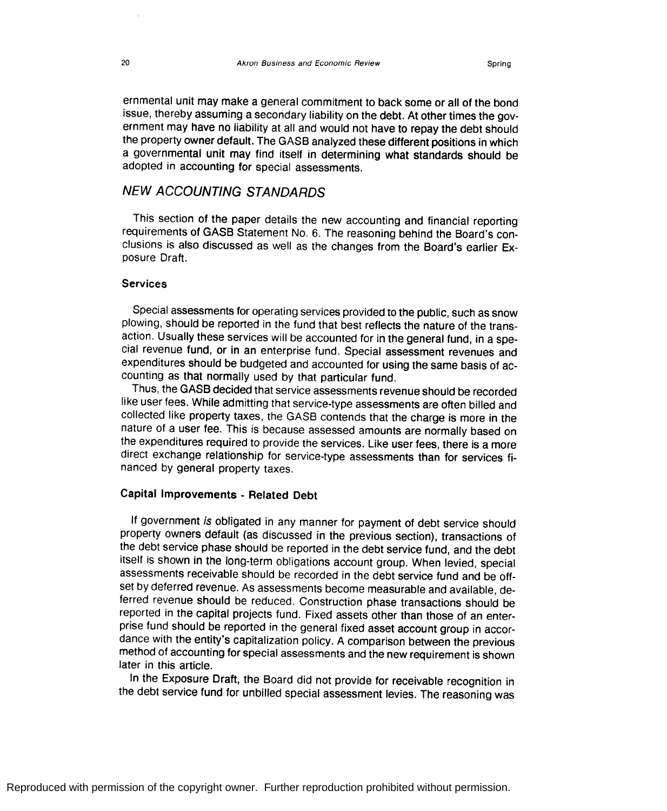ernmental unit may make a general commitment to back some or all of the bond issue, thereby assuming a secondary liability on the debt. At other times the government may have no liability at all and would not have to repay the debt should the property owner default. The GASS analyzed these different positions in which a governmental unit may find itself in determining what standards should be adopted in accounting for special assessments.

# NEW ACCOUNTING STANDARDS

This section of the paper details the new accounting and financial reporting requirements of GASS Statement No. 6. The reasoning behind the Board's conclusions is also discussed as well as the changes from the Board's earlier Exposure Draft.

#### **Services**

Special assessments for operating services provided to the public, such as snow plowing, should be reported in the fund that best reflects the nature of the transaction. Usually these services will be accounted for in the general fund, in a special revenue fund, or in an enterprise fund. Special assessment revenues and expenditures should be budgeted and accounted for using the same basis of accounting as that normally used by that particular fund.

Thus, the GASS decided that service assessments revenue should be recorded like user fees. While admitting that service-type assessments are often billed and collected like property taxes, the GASS contends that the charge is more in the nature of a user fee. This is because assessed amounts are normally based on the expenditures required to provide the services. Like user fees, there is a more direct exchange relationship for service-type assessments than for services financed by general property taxes.

## **Capital Improvements** - **Related Debt**

If government is obligated in any manner for payment of debt service should property owners default (as discussed in the previous section), transactions of the debt service phase should be reported in the debt service fund, and the debt itself is shown in the long-term obligations account group. When levied, special assessments receivable should be recorded in the debt service fund and be offset by deferred revenue. As assessments become measurable and available, deferred revenue should be reduced. Construction phase transactions should be reported in the capital projects fund. Fixed assets other than those of an enterprise fund should be reported in the general fixed asset account group in accordance with the entity's capitalization policy. A comparison between the previous method of accounting for special assessments and the new requirement is shown later in this article.

In the Exposure Draft, the Board did not provide for receivable recognition in the debt service fund for unbilled special assessment levies. The reasoning was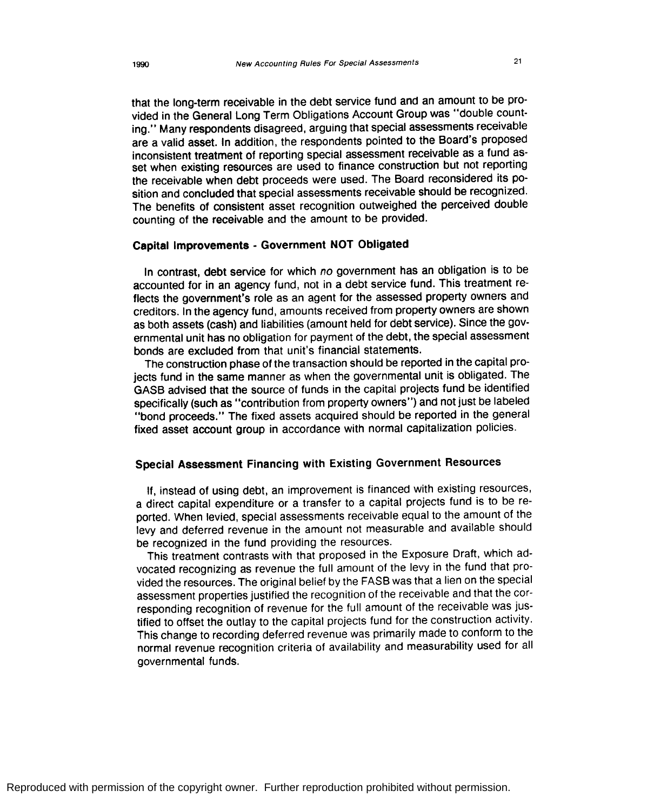that the long-term receivable in the debt service fund and an amount to be provided in the General Long Term Obligations Account Group was "double counting." Many respondents disagreed, arguing that special assessments receivable are a valid asset. In addition, the respondents pointed to the Board's proposed inconsistent treatment of reporting special assessment receivable as a fund asset when existing resources are used to finance construction but not reporting the receivable when debt proceeds were used. The Board reconsidered its position and concluded that special assessments receivable should be recognized. The benefits of consistent asset recognition outweighed the perceived double

### **Capital Improvements** - **Government NOT Obligated**

counting of the receivable and the amount to be provided.

In contrast, debt service for which no government has an obligation is to be accounted for in an agency fund, not in a debt service fund. This treatment reflects the government's role as an agent for the assessed property owners and creditors. In the agency fund, amounts received from property owners are shown as both assets (cash) and liabilities (amount held for debt service). Since the governmental unit has no obligation for payment of the debt, the special assessment bonds are excluded from that unit's financial statements.

The construction phase of the transaction should be reported in the capital projects fund in the same manner as when the governmental unit is obligated. The GASB advised that the source of funds in the capital projects fund be identified specifically (such as "contribution from property owners") and not just be labeled "bond proceeds." The fixed assets acquired should be reported in the general fixed asset account group in accordance with normal capitalization policies.

# **Special Assessment Financing with Existing Government Resources**

If, instead of using debt, an improvement is financed with existing resources, a direct capital expenditure or a transfer to a capital projects fund is to be reported. When levied, special assessments receivable equal to the amount of the levy and deferred revenue in the amount not measurable and available should be recognized in the fund providing the resources.

This treatment contrasts with that proposed in the Exposure Draft, which advocated recognizing as revenue the full amount of the levy in the fund that provided the resources. The original belief by the FASB was that a lien on the special assessment properties justified the recognition of the receivable and that the corresponding recognition of revenue for the full amount of the receivable was justified to offset the outlay to the capital projects fund for the construction activity. This change to recording deferred revenue was primarily made to conform to the normal revenue recognition criteria of availability and measurability used for all governmental funds.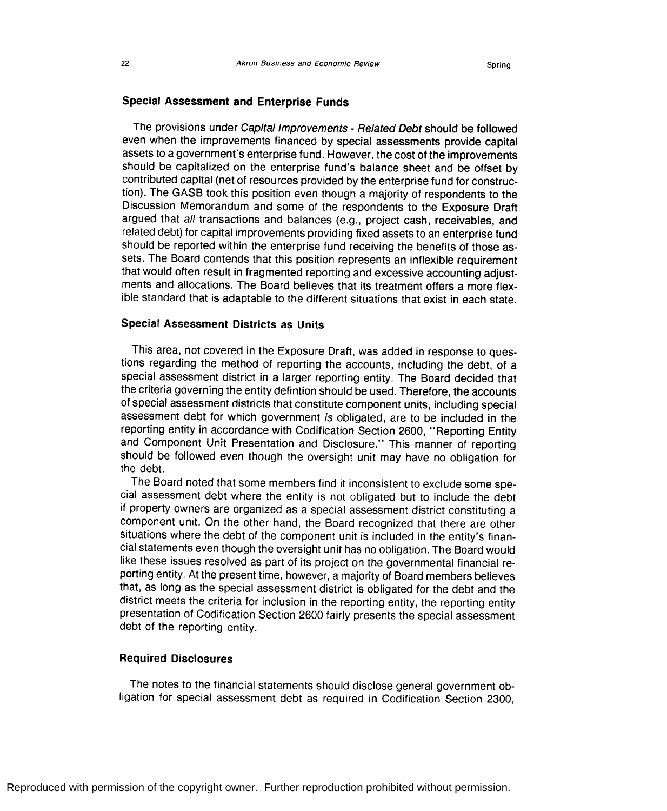### Special Assessment and Enterprise Funds

The provisions under Capital Improvements - Related Debt should be followed even when the improvements financed by special assessments provide capital assets to a government's enterprise fund. However, the cost of the improvements should be capitalized on the enterprise fund's balance sheet and be offset by contributed capital (net of resources provided by the enterprise fund for construction). The GASS took this position even though a majority of respondents to the Discussion Memorandum and some of the respondents to the Exposure Draft argued that all transactions and balances (e.g., project cash, receivables, and related debt) for capital improvements providing fixed assets to an enterprise fund should be reported within the enterprise fund receiving the benefits of those assets. The Board contends that this position represents an inflexible requirement that would often result in fragmented reporting and excessive accounting adjustments and allocations. The Board believes that its treatment offers a more flexible standard that is adaptable to the different situations that exist in each state.

#### **Special Assessment Districts as Units**

This area, not covered in the Exposure Draft, was added in response to questions regarding the method of reporting the accounts, including the debt, of a special assessment district in a larger reporting entity. The Board decided that the criteria governing the entity defintion should be used. Therefore, the accounts of special assessment districts that constitute component units, including special assessment debt for which government is obligated, are to be included in the reporting entity in accordance with Codification Section 2600, "Reporting Entity and Component Unit Presentation and Disclosure." This manner of reporting should be followed even though the oversight unit may have no obligation for the debt.

The Board noted that some members find it inconsistent to exclude some special assessment debt where the entity is not obligated but to include the debt if property owners are organized as a special assessment district constituting a component unit. On the other hand, the Board recognized that there are other situations where the debt of the component unit is included in the entity's financial statements even though the oversight unit has no obligation. The Board would like these issues resolved as part of its project on the governmental financial reporting entity. At the present time, however, a majority of Board members believes that, as long as the special assessment district is obligated for the debt and the district meets the criteria for inclusion in the reporting entity, the reporting entity presentation of Codification Section 2600 fairly presents the special assessment debt of the reporting entity.

## **Required Disclosures**

The notes to the financial statements should disclose general government obligation for special assessment debt as required in Codification Section 2300,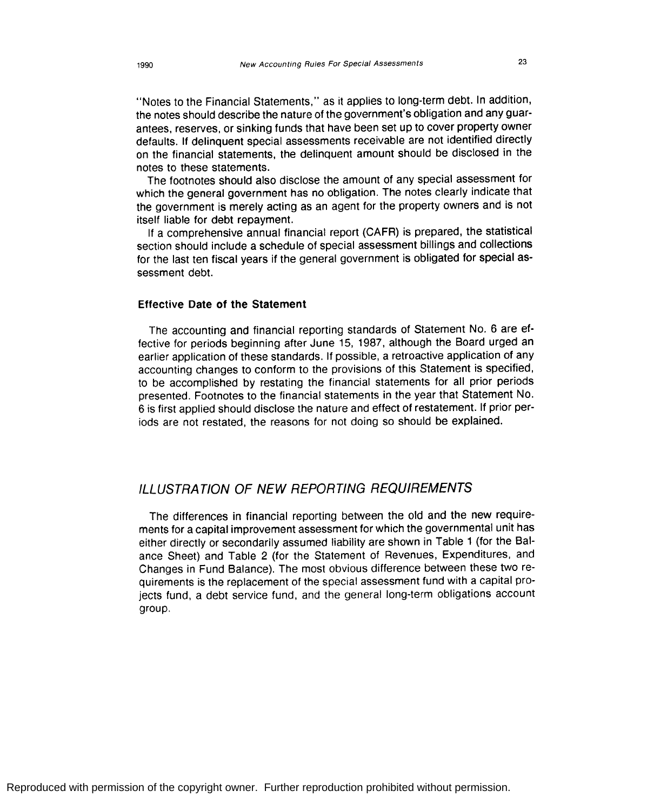"Notes to the Financial Statements," as it applies to long-term debt. In addition, the notes should describe the nature of the government's obligation and any guarantees, reserves, or sinking funds that have been set up to cover property owner defaults. If delinquent special assessments receivable are not identified directly on the financial statements, the delinquent amount should be disclosed in the notes to these statements.

The footnotes should also disclose the amount of any special assessment for which the general government has no obligation. The notes clearly indicate that the government is merely acting as an agent for the property owners and is not itself liable for debt repayment.

If a comprehensive annual financial report (CAFR) is prepared, the statistical section should include a schedule of special assessment billings and collections for the last ten fiscal years if the general government is obligated for special assessment debt.

### **Effective Date of the Statement**

The accounting and financial reporting standards of Statement No. 6 are effective for periods beginning after June 15, 1987, although the Board urged an earlier application of these standards. If possible, a retroactive application of any accounting changes to conform to the provisions of this Statement is specified, to be accomplished by restating the financial statements for all prior periods presented. Footnotes to the financial statements in the year that Statement No. 6 is first applied should disclose the nature and effect of restatement. If prior periods are not restated, the reasons for not doing so should be explained.

# ILLUSTRATION OF NEW REPORTING REQUIREMENTS

The differences in financial reporting between the old and the new requirements for a capital improvement assessment for which the governmental unit has either directly or secondarily assumed liability are shown in Table 1 (for the Balance Sheet) and Table 2 (for the Statement of Revenues, Expenditures, and Changes in Fund Balance). The most obvious difference between these two requirements is the replacement of the special assessment fund with a capital projects fund, a debt service fund, and the general long-term obligations account group.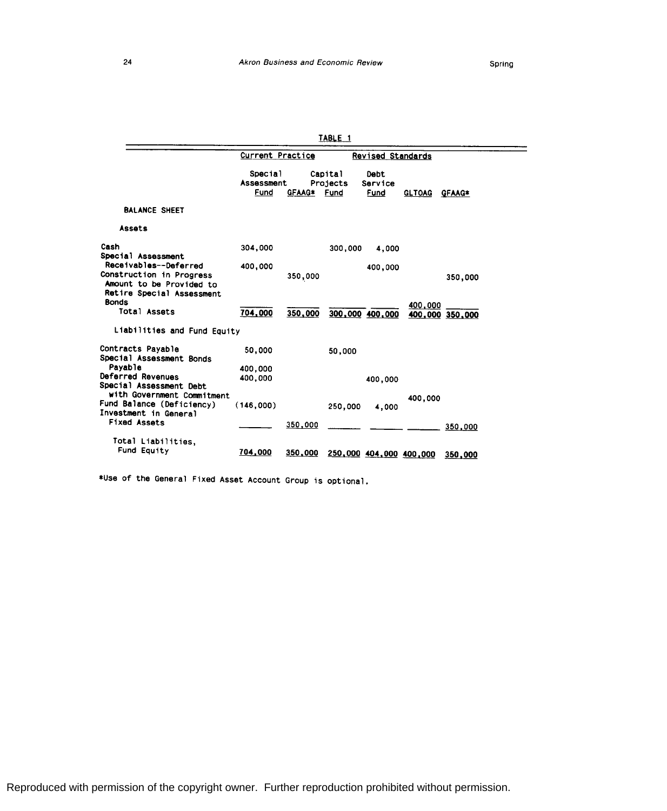—<br>—

|                                                                                                            |                               |         | TABLE 1                     |                         |               |                 |
|------------------------------------------------------------------------------------------------------------|-------------------------------|---------|-----------------------------|-------------------------|---------------|-----------------|
|                                                                                                            | <b>Current Practice</b>       |         |                             | Revised Standards       |               |                 |
|                                                                                                            | Special<br>Assessment<br>Fund | GFAAG*  | Capital<br>Projects<br>Fund | Debt<br>Service<br>Fund | <b>GLTOAG</b> | GFAAG*          |
| <b>BALANCE SHEET</b>                                                                                       |                               |         |                             |                         |               |                 |
| Assats                                                                                                     |                               |         |                             |                         |               |                 |
| Cash<br>Special Assessment                                                                                 | 304,000                       |         | 300,000                     | 4,000                   |               |                 |
| Receivables--Deferred<br>Construction in Progress<br>Amount to be Provided to<br>Retire Special Assessment | 400,000                       | 350,000 |                             | 400,000                 |               | 350,000         |
| <b>Bonds</b><br>Total Assets                                                                               | 704,000                       | 350,000 |                             | 300,000 400,000         | 400,000       | 400.000 350,000 |
| Liabilities and Fund Equity                                                                                |                               |         |                             |                         |               |                 |
| Contracts Payable<br>Special Assessment Bonds<br>Pavable                                                   | 50,000                        |         | 50,000                      |                         |               |                 |
| Deferred Revenues<br>Special Assessment Debt<br>with Government Commitment                                 | 400,000<br>400,000            |         |                             | 400,000                 |               |                 |
| Fund Balance (Deficiency)<br>Investment in General                                                         | (146,000)                     |         | 250,000                     | 4,000                   | 400,000       |                 |
| <b>Fixed Assets</b>                                                                                        |                               | 350,000 |                             |                         |               | 350,000         |
| Total Liabilities,<br>Fund Equity                                                                          | 704,000                       | 350,000 |                             | 250,000 404,000 400,000 |               | 350,000         |

\*Use of the General Fixed Asset Account Group is optional.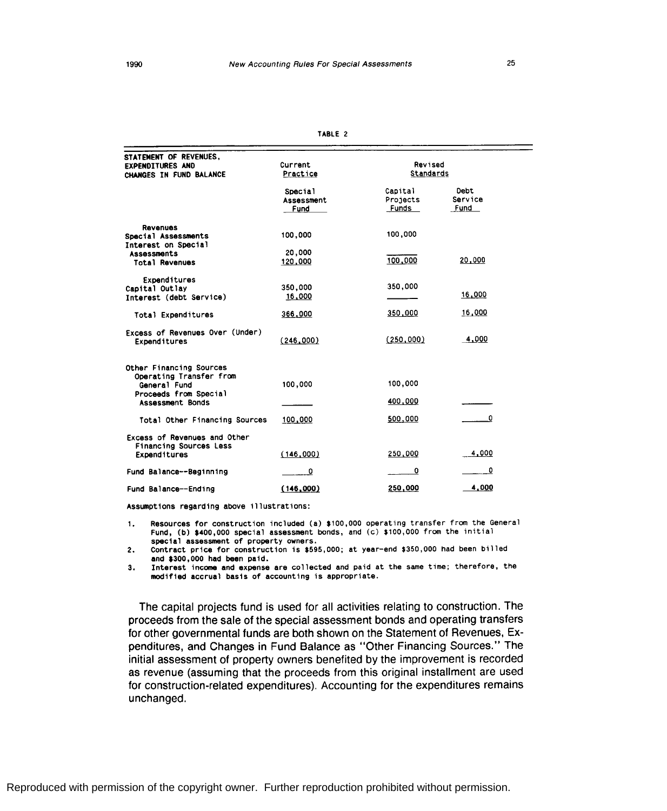| ш<br>۰ь.<br>п. |  |
|----------------|--|
|----------------|--|

| STATEMENT OF REVENUES,                          |             |              |              |  |
|-------------------------------------------------|-------------|--------------|--------------|--|
| <b>EXPENDITURES AND</b>                         | Current     | Revised      |              |  |
| CHANGES IN FUND BALANCE                         | Practice    | Standards    |              |  |
|                                                 |             | Capital      | Debt         |  |
|                                                 | Special     | Projects     | Service      |  |
|                                                 | Assessment  | <b>Funds</b> | Fund         |  |
|                                                 | <b>Fund</b> |              |              |  |
| Revenues                                        |             |              |              |  |
| Special Assessments                             | 100,000     | 100,000      |              |  |
| Interest on Special                             |             |              |              |  |
| <b>Assessments</b>                              | 20,000      |              |              |  |
| <b>Total Revenues</b>                           | 120,000     | 100,000      | 20,000       |  |
|                                                 |             |              |              |  |
| Expenditures                                    |             | 350,000      |              |  |
| Capital Outlay                                  | 350,000     |              | 16,000       |  |
| Interest (debt Service)                         | 16,000      |              |              |  |
| <b>Total Expenditures</b>                       | 366,000     | 350,000      | 16,000       |  |
|                                                 |             |              |              |  |
| Excess of Revenues Over (Under)<br>Expenditures | (246,000)   | (250,000)    | 4,000        |  |
|                                                 |             |              |              |  |
|                                                 |             |              |              |  |
| Other Financing Sources                         |             |              |              |  |
| Operating Transfer from<br>General Fund         | 100,000     | 100,000      |              |  |
| Proceeds from Special                           |             |              |              |  |
| Assessment Bonds                                |             | 400,000      |              |  |
|                                                 |             |              |              |  |
| Total Other Financing Sources                   | 100,000     | 500,000      | $\mathbf{0}$ |  |
|                                                 |             |              |              |  |
| Excess of Revenues and Other                    |             |              |              |  |
| <b>Financing Sources Less</b>                   |             |              |              |  |
| Expenditures                                    | (146,000)   | 250,000      | 4,000        |  |
| Fund Balance--Beginning                         | 0           | 0            | 0            |  |
|                                                 |             |              |              |  |
| Fund Balance--Ending                            | (146,000)   | 250,000      | 4,000        |  |

Assumptions regarding above illustrations:

1. Resources for construction included (a) \$100,000 operating transfer from the General Fund, (b) \$400,000 special assessment bonds, and (c) \$100,000 from the initial

2. Contract price for construction is \$595,000; at year-end \$350,000 had been billed and \$300,000 had been paid.

**3. Interest income and expense are collected and** paid at the same time; therefore, the **modified accrual basis of accounting is appropriate.** 

The capital projects fund is used for all activities relating to construction. The proceeds from the sale of the special assessment bonds and operating transfers for other governmental funds are both shown on the Statement of Revenues, Expenditures, and Changes in Fund Balance as "Other Financing Sources." The initial assessment of property owners benefited by the improvement is recorded as revenue (assuming that the proceeds from this original installment are used for construction-related expenditures). Accounting for the expenditures remains unchanged.